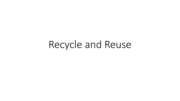# Recycle and Reuse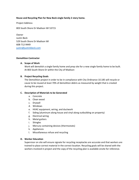## **Reuse and Recycling Plan for New Beck single family 2 story home.**

Project Address:

803 South Shore Dr Madison WI 53715

Owner Justin Beck 529 South Shore Dr Madison WI 608-712-9449 [justin@justinkbeck.com](mailto:justin@justinkbeck.com)

#### **Demolition Contractor**

## **A. Scope of Work**

Work will demolish a single family home and prep site for a new single family home to be built. At 803 South Shore Dr within the City of Madison

#### **B. Project Recycling Goals**

The Demolition project in order to be in compliance with City Ordinance 10.185 will recycle or cause to be reused at least 70% of demolition debris as measured by weight that is created during this project.

## **C. Description of Materials to be Generated**

- a. Concrete
- b. Clean wood
- c. Drywall
- d. Windows
- e. HVAC equipment, wiring, and ductwork
- f. Siding (aluminum along house and vinyl along outbuilding on property)
- g. Electrical wiring
- h. Metal gutters
- i. Shingles
- j. Mercury containing devices (thermostats)
- k. Appliances
- l. Miscellaneous refuse and recycling

## **D. Worker Education**

Supervisor on site will ensure signate for recycling receptacles are accurate and that workers are trained to place correct material in the correct location. Recycling goals will be shared with the workers involved in project and the copy of the recycling plan is available onsite for reference.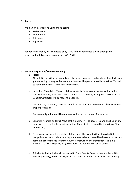#### **E. Reuse**

We plan on internally re-using and re-selling

- Water heater
- Water Boiler
- Sub pump
- appliances

Habitat for Humanity was contacted on 8/25/2020 they performed a walk through and reclaimed the following items week of 9/29/2020

## **F. Material Disposition/Material Handling**

a. Metal

All metal items will be separated and placed into a metal recycling dumpster. Duct work, gutters, wiring, piping, and other metal items will be placed into this container. This will be hauled to All Metal Recycling for recycling.

b. Hazardous Materials – Mercury, Asbestos, etc. Building was inspected and tested for universals wastes, lead. These materials will be removed by an appropriate contractor. General Contractor will be responsible for this.

Two mercury containing thermostats will be removed and delivered to Clean Sweep for proper processing.

Fluorescent light bulbs will be removed and taken to Menards for recycling.

- c. Concrete, Asphalt, and Brick Most of this material will be separated and crushed on site to be used as base for the new foundation. The rest will be hauled to the Wingra Stone for recycling.
- d. Clean Wood salvaged from joists, subfloor, and other wood will be deposited into a comingled construction debris recycling dumpster to be processed by the construction and demolition recycling facility Dane County Construction and Demolition Recycling Facility, 7102 U.S. Highway 12 (across form the Yahara Hills Golf Course)
- e. Shingles Asphalt shingles will be hauled to Dane County Construction and Demolition Recycling Facility, 7102 U.S. Highway 12 (across form the Yahara Hills Golf Course).